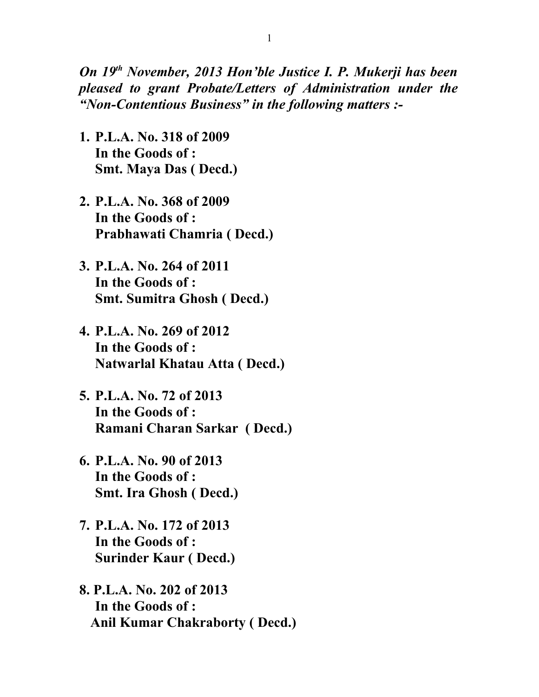*On 19th November, 2013 Hon'ble Justice I. P. Mukerji has been pleased to grant Probate/Letters of Administration under the "Non-Contentious Business" in the following matters :-*

- **1. P.L.A. No. 318 of 2009 In the Goods of : Smt. Maya Das ( Decd.)**
- **2. P.L.A. No. 368 of 2009 In the Goods of : Prabhawati Chamria ( Decd.)**
- **3. P.L.A. No. 264 of 2011 In the Goods of : Smt. Sumitra Ghosh ( Decd.)**
- **4. P.L.A. No. 269 of 2012 In the Goods of : Natwarlal Khatau Atta ( Decd.)**
- **5. P.L.A. No. 72 of 2013 In the Goods of : Ramani Charan Sarkar ( Decd.)**
- **6. P.L.A. No. 90 of 2013 In the Goods of : Smt. Ira Ghosh ( Decd.)**
- **7. P.L.A. No. 172 of 2013 In the Goods of : Surinder Kaur ( Decd.)**
- **8. P.L.A. No. 202 of 2013 In the Goods of : Anil Kumar Chakraborty ( Decd.)**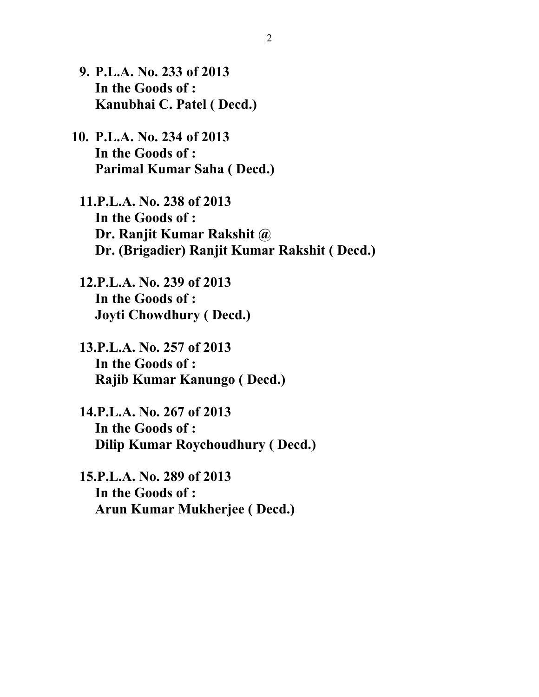- **9. P.L.A. No. 233 of 2013 In the Goods of : Kanubhai C. Patel ( Decd.)**
- **10. P.L.A. No. 234 of 2013 In the Goods of : Parimal Kumar Saha ( Decd.)**
	- **11.P.L.A. No. 238 of 2013 In the Goods of : Dr. Ranjit Kumar Rakshit @ Dr. (Brigadier) Ranjit Kumar Rakshit ( Decd.)**
	- **12.P.L.A. No. 239 of 2013 In the Goods of : Joyti Chowdhury ( Decd.)**
	- **13.P.L.A. No. 257 of 2013 In the Goods of : Rajib Kumar Kanungo ( Decd.)**
	- **14.P.L.A. No. 267 of 2013 In the Goods of : Dilip Kumar Roychoudhury ( Decd.)**
	- **15.P.L.A. No. 289 of 2013 In the Goods of : Arun Kumar Mukherjee ( Decd.)**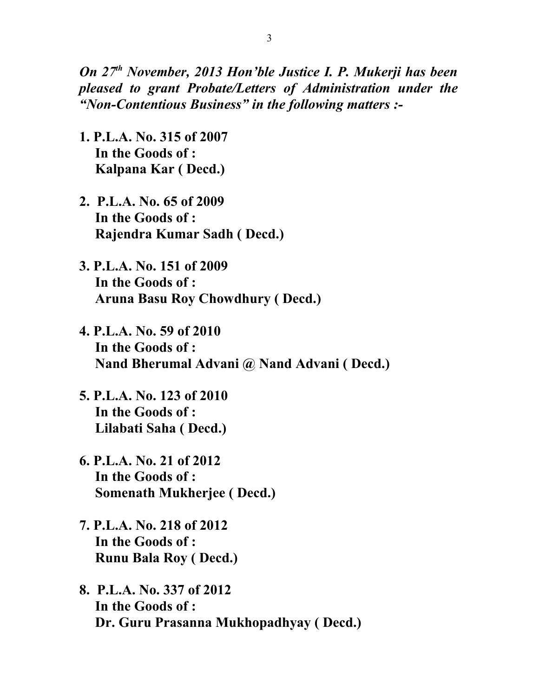*On 27th November, 2013 Hon'ble Justice I. P. Mukerji has been pleased to grant Probate/Letters of Administration under the "Non-Contentious Business" in the following matters :-*

- **1. P.L.A. No. 315 of 2007 In the Goods of : Kalpana Kar ( Decd.)**
- **2. P.L.A. No. 65 of 2009 In the Goods of : Rajendra Kumar Sadh ( Decd.)**
- **3. P.L.A. No. 151 of 2009 In the Goods of : Aruna Basu Roy Chowdhury ( Decd.)**
- **4. P.L.A. No. 59 of 2010 In the Goods of : Nand Bherumal Advani @ Nand Advani ( Decd.)**
- **5. P.L.A. No. 123 of 2010 In the Goods of : Lilabati Saha ( Decd.)**
- **6. P.L.A. No. 21 of 2012 In the Goods of : Somenath Mukherjee ( Decd.)**
- **7. P.L.A. No. 218 of 2012 In the Goods of : Runu Bala Roy ( Decd.)**
- **8. P.L.A. No. 337 of 2012 In the Goods of : Dr. Guru Prasanna Mukhopadhyay ( Decd.)**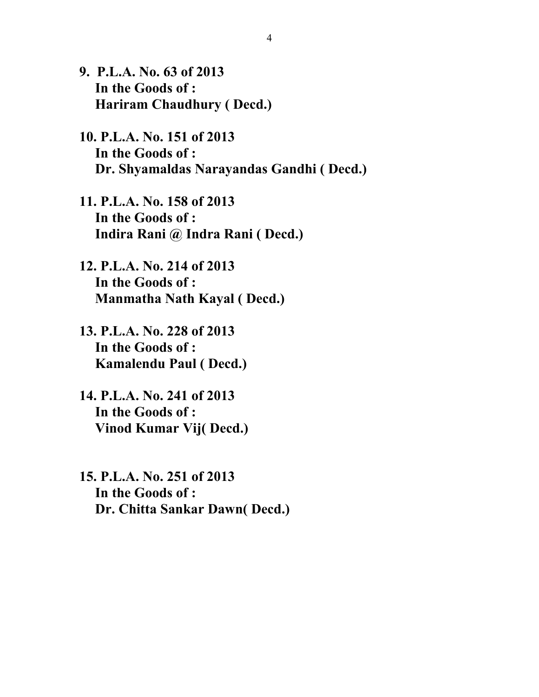- **9. P.L.A. No. 63 of 2013 In the Goods of : Hariram Chaudhury ( Decd.)**
- **10. P.L.A. No. 151 of 2013 In the Goods of : Dr. Shyamaldas Narayandas Gandhi ( Decd.)**
- **11. P.L.A. No. 158 of 2013 In the Goods of : Indira Rani @ Indra Rani ( Decd.)**
- **12. P.L.A. No. 214 of 2013 In the Goods of : Manmatha Nath Kayal ( Decd.)**
- **13. P.L.A. No. 228 of 2013 In the Goods of : Kamalendu Paul ( Decd.)**
- **14. P.L.A. No. 241 of 2013 In the Goods of : Vinod Kumar Vij( Decd.)**
- **15. P.L.A. No. 251 of 2013 In the Goods of : Dr. Chitta Sankar Dawn( Decd.)**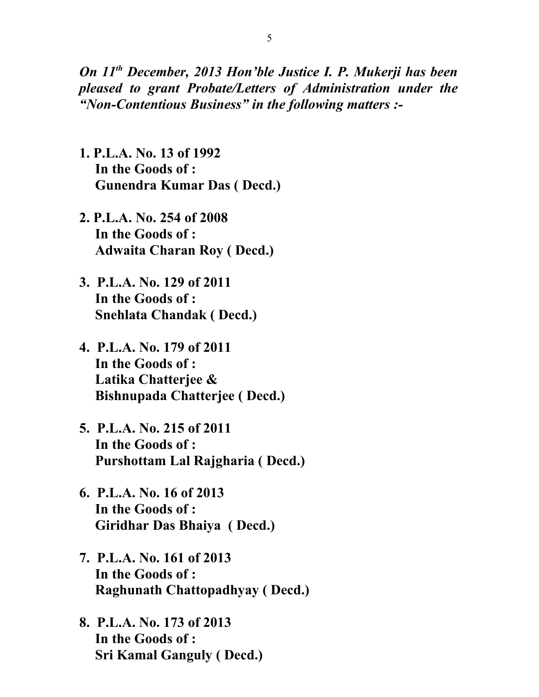*On 11th December, 2013 Hon'ble Justice I. P. Mukerji has been pleased to grant Probate/Letters of Administration under the "Non-Contentious Business" in the following matters :-*

- **1. P.L.A. No. 13 of 1992 In the Goods of : Gunendra Kumar Das ( Decd.)**
- **2. P.L.A. No. 254 of 2008 In the Goods of : Adwaita Charan Roy ( Decd.)**
- **3. P.L.A. No. 129 of 2011 In the Goods of : Snehlata Chandak ( Decd.)**
- **4. P.L.A. No. 179 of 2011 In the Goods of : Latika Chatterjee & Bishnupada Chatterjee ( Decd.)**
- **5. P.L.A. No. 215 of 2011 In the Goods of : Purshottam Lal Rajgharia ( Decd.)**
- **6. P.L.A. No. 16 of 2013 In the Goods of : Giridhar Das Bhaiya ( Decd.)**
- **7. P.L.A. No. 161 of 2013 In the Goods of : Raghunath Chattopadhyay ( Decd.)**
- **8. P.L.A. No. 173 of 2013 In the Goods of : Sri Kamal Ganguly ( Decd.)**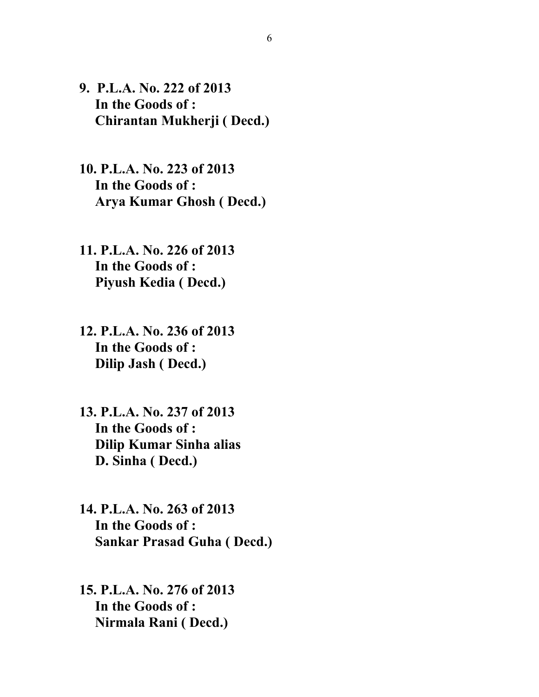- **9. P.L.A. No. 222 of 2013 In the Goods of : Chirantan Mukherji ( Decd.)**
- **10. P.L.A. No. 223 of 2013 In the Goods of : Arya Kumar Ghosh ( Decd.)**
- **11. P.L.A. No. 226 of 2013 In the Goods of : Piyush Kedia ( Decd.)**
- **12. P.L.A. No. 236 of 2013 In the Goods of : Dilip Jash ( Decd.)**
- **13. P.L.A. No. 237 of 2013 In the Goods of : Dilip Kumar Sinha alias D. Sinha ( Decd.)**
- **14. P.L.A. No. 263 of 2013 In the Goods of : Sankar Prasad Guha ( Decd.)**
- **15. P.L.A. No. 276 of 2013 In the Goods of : Nirmala Rani ( Decd.)**